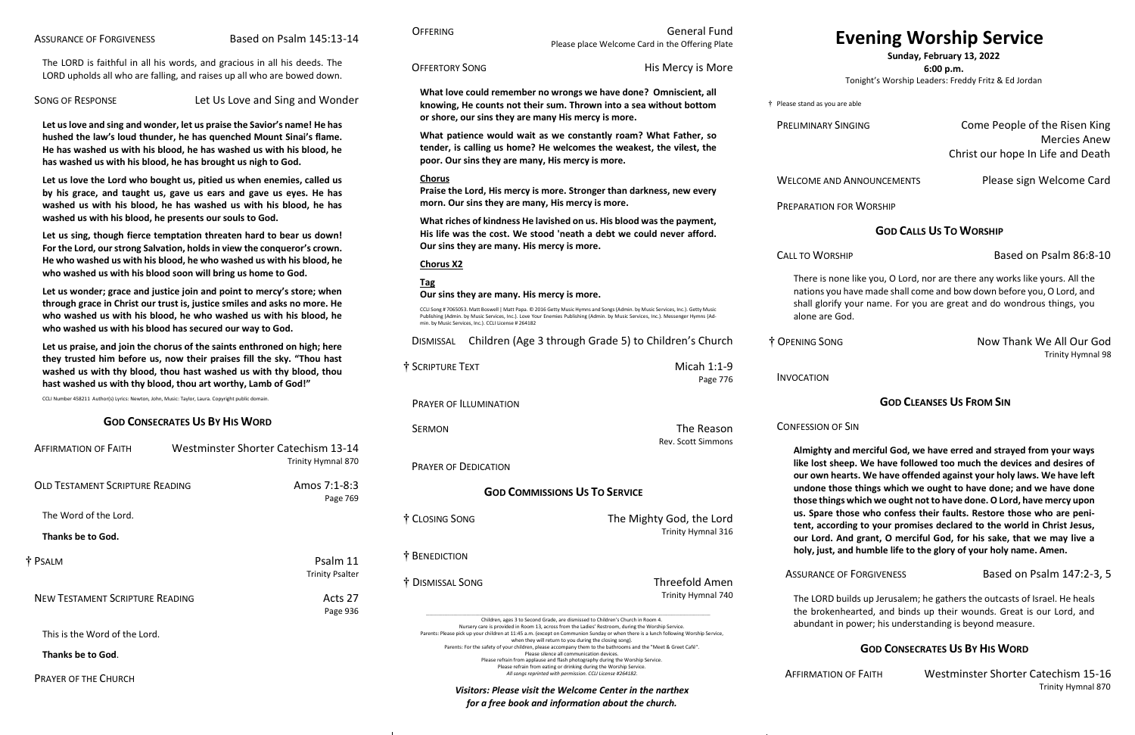<span id="page-0-0"></span>The LORD is faithful in all his words, and gracious in all his deeds. The LORD upholds all who are falling, and raises up all who are bowed down.

SONG OF RESPONSE Let Us Love and Sing and Wonder

**Let us love and sing and wonder, let us praise the Savior's name! He has hushed the law's loud thunder, he has quenched Mount Sinai's flame. He has washed us with his blood, he has washed us with his blood, he has washed us with his blood, he has brought us nigh to God.**

**Let us love the Lord who bought us, pitied us when enemies, called us by his grace, and taught us, gave us ears and gave us eyes. He has washed us with his blood, he has washed us with his blood, he has washed us with his blood, he presents our souls to God.**

**Let us sing, though fierce temptation threaten hard to bear us down! For the Lord, our strong Salvation, holds in view the conqueror's crown. He who washed us with his blood, he who washed us with his blood, he who washed us with his blood soon will bring us home to God.**

#### IINARY SINGING **Come People of the Risen King** Mercies Anew Christ our hope In Life and Death

ME AND ANNOUNCEMENTS Please sign Welcome Card

**ATION FOR WORSHIP** 

**Let us wonder; grace and justice join and point to mercy's store; when through grace in Christ our trust is, justice smiles and asks no more. He who washed us with his blood, he who washed us with his blood, he who washed us with his blood has secured our way to God.**

> IG SONG Now Thank We All Our God Trinity Hymnal 98

**Let us praise, and join the chorus of the saints enthroned on high; here they trusted him before us, now their praises fill the sky. "Thou hast washed us with thy blood, thou hast washed us with thy blood, thou hast washed us with thy blood, thou art worthy, Lamb of God!"**

CCLI Number 458211 Author(s) Lyrics: Newton, John, Music: Taylor, Laura. Copyright public domain.

#### **GOD CONSECRATES US BY HIS WORD**

| <b>AFFIRMATION OF FAITH</b>            | <b>Westminster Shorter Catechism 13-14</b> | Trinity Hymnal 870                 |
|----------------------------------------|--------------------------------------------|------------------------------------|
| OLD TESTAMENT SCRIPTURE READING        |                                            | Amos 7:1-8:3<br>Page 769           |
| The Word of the Lord.                  |                                            |                                    |
| Thanks be to God.                      |                                            |                                    |
| † PSALM                                |                                            | Psalm 11<br><b>Trinity Psalter</b> |
| <b>NEW TESTAMENT SCRIPTURE READING</b> |                                            | Acts 27<br>Page 936                |
| This is the Word of the Lord.          |                                            |                                    |
| Thanks be to God.                      |                                            |                                    |

MATION OF FAITH Westminster Shorter Catechism 15-16 Trinity Hymnal 870

PRAYER OF THE CHURCH

## **[Evening Worship Service](#page-0-0)**

**Sunday, February 13, 2022**

**6:00 p.m.**

Tonight's Worship Leaders: Freddy Fritz & Ed Jordan

nd as you are able

#### **GOD CALLS US TO WORSHIP**

D WORSHIP Based on Psalm 86:8-10

rre is none like you, O Lord, nor are there any works like yours. All the ions you have made shall come and bow down before you, O Lord, and Il glorify your name. For you are great and do wondrous things, you ne are God.

#### **GOD CLEANSES US FROM SIN**

SION OF SIN

**Almighty and merciful God, we have erred and strayed from your ways**  lost sheep. We have followed too much the devices and desires of own hearts. We have offended against your holy laws. We have left lone those things which we ought to have done; and we have done se things which we ought not to have done. O Lord, have mercy upon **us. Spare those who confess their faults. Restore those who are penit, according to your promises declared to the world in Christ Jesus,** Lord. And grant, O merciful God, for his sake, that we may live a **holy, just, and humble life to the glory of your holy name. Amen.**

RANCE OF FORGIVENESS Based on Psalm 147:2-3, 5

LORD builds up Jerusalem; he gathers the outcasts of Israel. He heals brokenhearted, and binds up their wounds. Great is our Lord, and ndant in power; his understanding is beyond measure.

#### **GOD CONSECRATES US BY HIS WORD**

OFFERING General Fund

Please place Welcome Card in the Offering Plate

| <b>OFFERTORY SONG</b>                                                                                                                                                                                                                                                                                                                                                                  | His Mercy is More                                                                                                                                                                                                                                                                                                                                                                                                                                                                                                                                                                                                                      |                                                  |
|----------------------------------------------------------------------------------------------------------------------------------------------------------------------------------------------------------------------------------------------------------------------------------------------------------------------------------------------------------------------------------------|----------------------------------------------------------------------------------------------------------------------------------------------------------------------------------------------------------------------------------------------------------------------------------------------------------------------------------------------------------------------------------------------------------------------------------------------------------------------------------------------------------------------------------------------------------------------------------------------------------------------------------------|--------------------------------------------------|
| What love could remember no wrongs we have done? Omniscient, all<br>knowing, He counts not their sum. Thrown into a sea without bottom<br>or shore, our sins they are many His mercy is more.                                                                                                                                                                                          |                                                                                                                                                                                                                                                                                                                                                                                                                                                                                                                                                                                                                                        | † Please stand as yo                             |
| What patience would wait as we constantly roam? What Father, so<br>tender, is calling us home? He welcomes the weakest, the vilest, the<br>poor. Our sins they are many, His mercy is more.                                                                                                                                                                                            |                                                                                                                                                                                                                                                                                                                                                                                                                                                                                                                                                                                                                                        | <b>PRELIMINARY</b>                               |
| <b>Chorus</b><br>Praise the Lord, His mercy is more. Stronger than darkness, new every                                                                                                                                                                                                                                                                                                 |                                                                                                                                                                                                                                                                                                                                                                                                                                                                                                                                                                                                                                        | <b>WELCOME A</b>                                 |
| morn. Our sins they are many, His mercy is more.<br>What riches of kindness He lavished on us. His blood was the payment,<br>His life was the cost. We stood 'neath a debt we could never afford.<br>Our sins they are many. His mercy is more.                                                                                                                                        |                                                                                                                                                                                                                                                                                                                                                                                                                                                                                                                                                                                                                                        | PREPARATIO                                       |
| <b>Chorus X2</b>                                                                                                                                                                                                                                                                                                                                                                       |                                                                                                                                                                                                                                                                                                                                                                                                                                                                                                                                                                                                                                        | <b>CALL TO WO</b>                                |
| <b>Tag</b><br>Our sins they are many. His mercy is more.<br>CCLI Song #7065053. Matt Boswell   Matt Papa. © 2016 Getty Music Hymns and Songs (Admin. by Music Services, Inc.). Getty Music<br>Publishing (Admin. by Music Services, Inc.). Love Your Enemies Publishing (Admin. by Music Services, Inc.). Messenger Hymns (Ad-<br>min. by Music Services, Inc.). CCLI License # 264182 |                                                                                                                                                                                                                                                                                                                                                                                                                                                                                                                                                                                                                                        | There is<br>nations y<br>shall glor<br>alone are |
| <b>DISMISSAL</b>                                                                                                                                                                                                                                                                                                                                                                       | Children (Age 3 through Grade 5) to Children's Church                                                                                                                                                                                                                                                                                                                                                                                                                                                                                                                                                                                  | † OPENING SO                                     |
| † SCRIPTURE TEXT                                                                                                                                                                                                                                                                                                                                                                       | Micah 1:1-9<br>Page 776                                                                                                                                                                                                                                                                                                                                                                                                                                                                                                                                                                                                                | <b>INVOCATION</b>                                |
| <b>PRAYER OF ILLUMINATION</b>                                                                                                                                                                                                                                                                                                                                                          |                                                                                                                                                                                                                                                                                                                                                                                                                                                                                                                                                                                                                                        |                                                  |
| <b>SERMON</b>                                                                                                                                                                                                                                                                                                                                                                          | The Reason<br><b>Rev. Scott Simmons</b>                                                                                                                                                                                                                                                                                                                                                                                                                                                                                                                                                                                                | <b>CONFESSION</b><br><b>Almighty</b>             |
| <b>PRAYER OF DEDICATION</b>                                                                                                                                                                                                                                                                                                                                                            |                                                                                                                                                                                                                                                                                                                                                                                                                                                                                                                                                                                                                                        | like lost<br>our own                             |
| <b>GOD COMMISSIONS US TO SERVICE</b>                                                                                                                                                                                                                                                                                                                                                   |                                                                                                                                                                                                                                                                                                                                                                                                                                                                                                                                                                                                                                        | undone t<br>those thi                            |
| † CLOSING SONG                                                                                                                                                                                                                                                                                                                                                                         | The Mighty God, the Lord<br>Trinity Hymnal 316                                                                                                                                                                                                                                                                                                                                                                                                                                                                                                                                                                                         | us. Spare<br>tent, acc<br>our Lord<br>holy, jus  |
| † BENEDICTION                                                                                                                                                                                                                                                                                                                                                                          |                                                                                                                                                                                                                                                                                                                                                                                                                                                                                                                                                                                                                                        |                                                  |
| † DISMISSAL SONG                                                                                                                                                                                                                                                                                                                                                                       | <b>Threefold Amen</b><br>Trinity Hymnal 740                                                                                                                                                                                                                                                                                                                                                                                                                                                                                                                                                                                            | <b>ASSURANC</b><br>The LORI<br>the brok          |
|                                                                                                                                                                                                                                                                                                                                                                                        | Children, ages 3 to Second Grade, are dismissed to Children's Church in Room 4.<br>Nursery care is provided in Room 13, across from the Ladies' Restroom, during the Worship Service.<br>Parents: Please pick up your children at 11:45 a.m. (except on Communion Sunday or when there is a lunch following Worship Service,<br>when they will return to you during the closing song).<br>Parents: For the safety of your children, please accompany them to the bathrooms and the "Meet & Greet Café".<br>Please silence all communication devices.<br>Please refrain from applause and flash photography during the Worship Service. | abundan                                          |
|                                                                                                                                                                                                                                                                                                                                                                                        | Please refrain from eating or drinking during the Worship Service.<br>All songs reprinted with permission. CCLI License #264182.                                                                                                                                                                                                                                                                                                                                                                                                                                                                                                       | AFFIRMATI                                        |

*Visitors: Please visit the Welcome Center in the narthex for a free book and information about the church.*

 $\sim 1$